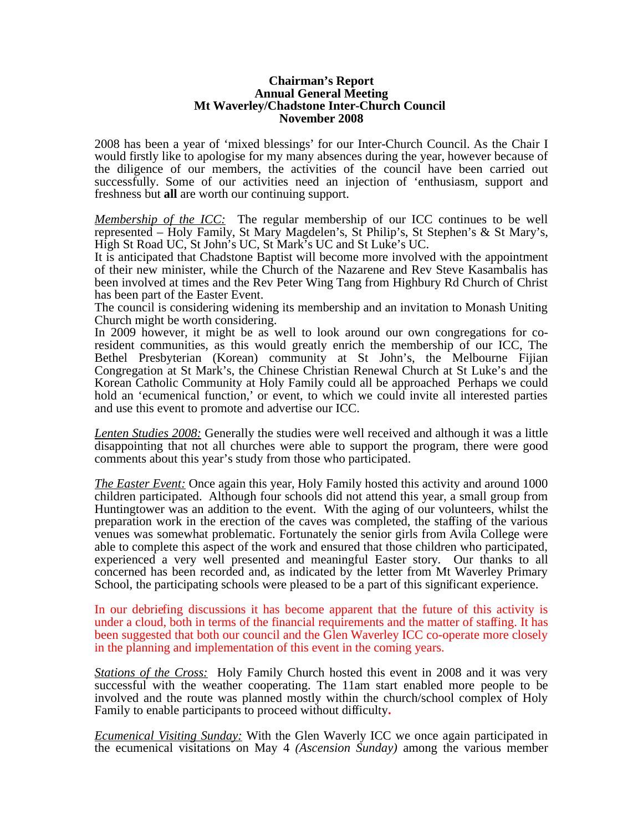## **Chairman's Report Annual General Meeting Mt Waverley/Chadstone Inter-Church Council November 2008**

2008 has been a year of 'mixed blessings' for our Inter-Church Council. As the Chair I would firstly like to apologise for my many absences during the year, however because of the diligence of our members, the activities of the council have been carried out successfully. Some of our activities need an injection of 'enthusiasm, support and freshness but **all** are worth our continuing support.

*Membership of the ICC:* The regular membership of our ICC continues to be well represented – Holy Family, St Mary Magdelen's, St Philip's, St Stephen's & St Mary's, High St Road UC, St John's UC, St Mark's UC and St Luke's UC.

It is anticipated that Chadstone Baptist will become more involved with the appointment of their new minister, while the Church of the Nazarene and Rev Steve Kasambalis has been involved at times and the Rev Peter Wing Tang from Highbury Rd Church of Christ has been part of the Easter Event.

The council is considering widening its membership and an invitation to Monash Uniting Church might be worth considering.

In 2009 however, it might be as well to look around our own congregations for coresident communities, as this would greatly enrich the membership of our ICC, The Bethel Presbyterian (Korean) community at St John's, the Melbourne Fijian Congregation at St Mark's, the Chinese Christian Renewal Church at St Luke's and the Korean Catholic Community at Holy Family could all be approached Perhaps we could hold an 'ecumenical function,' or event, to which we could invite all interested parties and use this event to promote and advertise our ICC.

*Lenten Studies 2008:* Generally the studies were well received and although it was a little disappointing that not all churches were able to support the program, there were good comments about this year's study from those who participated.

*The Easter Event:* Once again this year, Holy Family hosted this activity and around 1000 children participated. Although four schools did not attend this year, a small group from Huntingtower was an addition to the event. With the aging of our volunteers, whilst the preparation work in the erection of the caves was completed, the staffing of the various venues was somewhat problematic. Fortunately the senior girls from Avila College were able to complete this aspect of the work and ensured that those children who participated, experienced a very well presented and meaningful Easter story. Our thanks to all concerned has been recorded and, as indicated by the letter from Mt Waverley Primary School, the participating schools were pleased to be a part of this significant experience.

In our debriefing discussions it has become apparent that the future of this activity is under a cloud, both in terms of the financial requirements and the matter of staffing. It has been suggested that both our council and the Glen Waverley ICC co-operate more closely in the planning and implementation of this event in the coming years.

*Stations of the Cross:* Holy Family Church hosted this event in 2008 and it was very successful with the weather cooperating. The 11am start enabled more people to be involved and the route was planned mostly within the church/school complex of Holy Family to enable participants to proceed without difficulty**.** 

*Ecumenical Visiting Sunday:* With the Glen Waverly ICC we once again participated in the ecumenical visitations on May 4 *(Ascension Sunday)* among the various member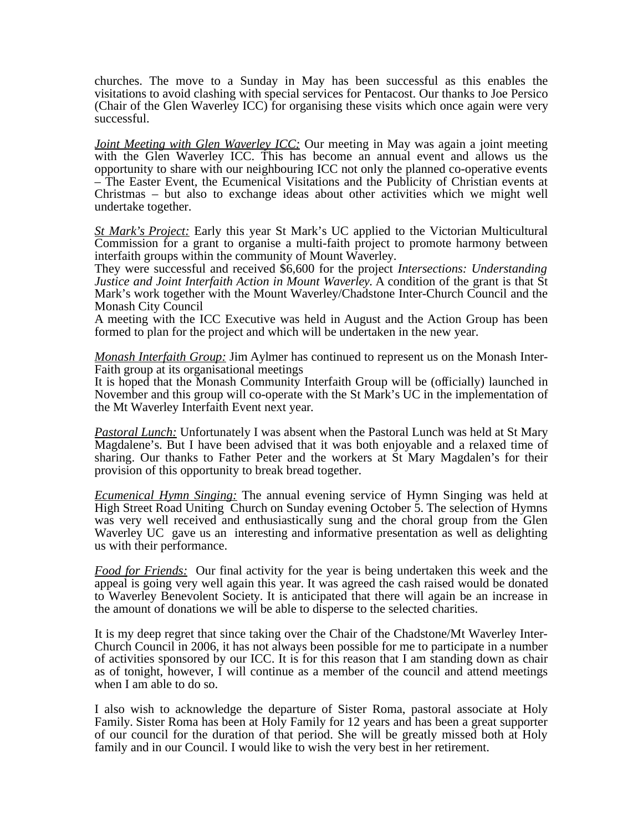churches. The move to a Sunday in May has been successful as this enables the visitations to avoid clashing with special services for Pentacost. Our thanks to Joe Persico (Chair of the Glen Waverley ICC) for organising these visits which once again were very successful.

*Joint Meeting with Glen Waverley ICC:* Our meeting in May was again a joint meeting with the Glen Waverley ICC. This has become an annual event and allows us the opportunity to share with our neighbouring ICC not only the planned co-operative events – The Easter Event, the Ecumenical Visitations and the Publicity of Christian events at Christmas – but also to exchange ideas about other activities which we might well undertake together.

*St Mark's Project:* Early this year St Mark's UC applied to the Victorian Multicultural Commission for a grant to organise a multi-faith project to promote harmony between interfaith groups within the community of Mount Waverley.

They were successful and received \$6,600 for the project *Intersections: Understanding Justice and Joint Interfaith Action in Mount Waverley.* A condition of the grant is that St Mark's work together with the Mount Waverley/Chadstone Inter-Church Council and the Monash City Council

A meeting with the ICC Executive was held in August and the Action Group has been formed to plan for the project and which will be undertaken in the new year.

*Monash Interfaith Group:* Jim Aylmer has continued to represent us on the Monash Inter-Faith group at its organisational meetings

It is hoped that the Monash Community Interfaith Group will be (officially) launched in November and this group will co-operate with the St Mark's UC in the implementation of the Mt Waverley Interfaith Event next year.

*Pastoral Lunch:* Unfortunately I was absent when the Pastoral Lunch was held at St Mary Magdalene's. But I have been advised that it was both enjoyable and a relaxed time of sharing. Our thanks to Father Peter and the workers at St Mary Magdalen's for their provision of this opportunity to break bread together.

*Ecumenical Hymn Singing:* The annual evening service of Hymn Singing was held at High Street Road Uniting Church on Sunday evening October 5. The selection of Hymns was very well received and enthusiastically sung and the choral group from the Glen Waverley UC gave us an interesting and informative presentation as well as delighting us with their performance.

*Food for Friends:* Our final activity for the year is being undertaken this week and the appeal is going very well again this year. It was agreed the cash raised would be donated to Waverley Benevolent Society. It is anticipated that there will again be an increase in the amount of donations we will be able to disperse to the selected charities.

It is my deep regret that since taking over the Chair of the Chadstone/Mt Waverley Inter-Church Council in 2006, it has not always been possible for me to participate in a number of activities sponsored by our ICC. It is for this reason that I am standing down as chair as of tonight, however, I will continue as a member of the council and attend meetings when I am able to do so.

I also wish to acknowledge the departure of Sister Roma, pastoral associate at Holy Family. Sister Roma has been at Holy Family for 12 years and has been a great supporter of our council for the duration of that period. She will be greatly missed both at Holy family and in our Council. I would like to wish the very best in her retirement.